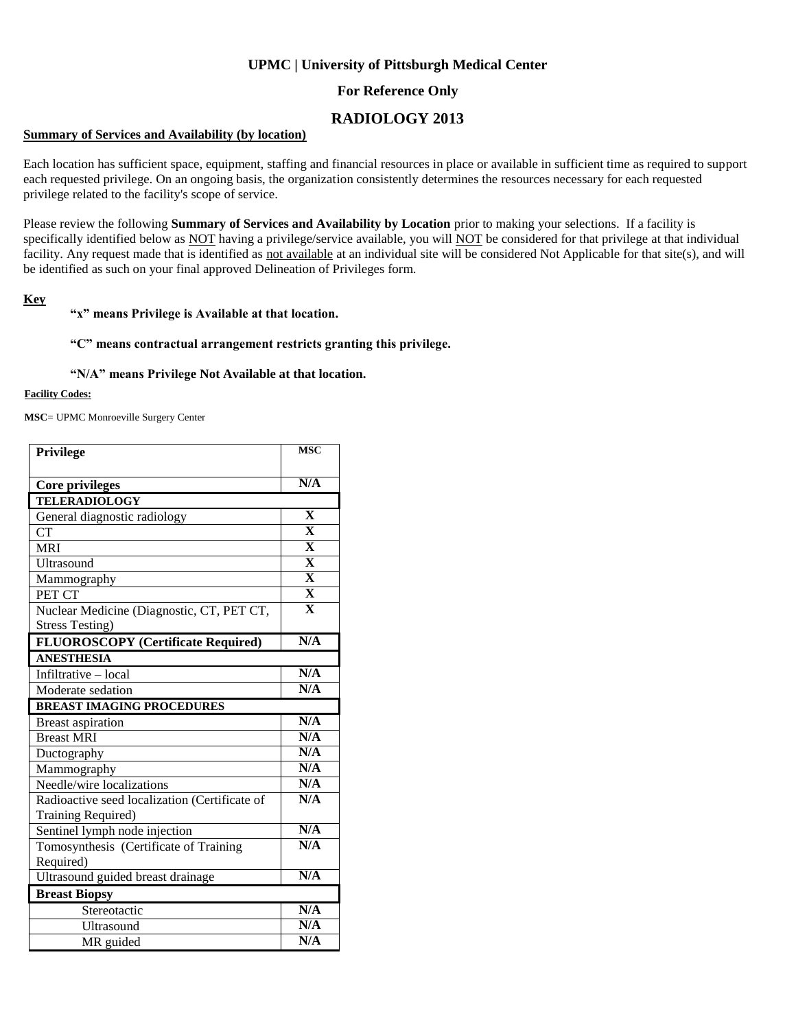# **UPMC | University of Pittsburgh Medical Center**

# **For Reference Only**

# **RADIOLOGY 2013**

### **Summary of Services and Availability (by location)**

Each location has sufficient space, equipment, staffing and financial resources in place or available in sufficient time as required to support each requested privilege. On an ongoing basis, the organization consistently determines the resources necessary for each requested privilege related to the facility's scope of service.

Please review the following **Summary of Services and Availability by Location** prior to making your selections. If a facility is specifically identified below as NOT having a privilege/service available, you will NOT be considered for that privilege at that individual facility. Any request made that is identified as not available at an individual site will be considered Not Applicable for that site(s), and will be identified as such on your final approved Delineation of Privileges form.

### **Key**

### **"x" means Privilege is Available at that location.**

### **"C" means contractual arrangement restricts granting this privilege.**

#### **"N/A" means Privilege Not Available at that location.**

#### **Facility Codes:**

**MSC**= UPMC Monroeville Surgery Center

| Privilege                                     | <b>MSC</b>              |
|-----------------------------------------------|-------------------------|
|                                               |                         |
| <b>Core privileges</b>                        | N/A                     |
| <b>TELERADIOLOGY</b>                          |                         |
| General diagnostic radiology                  | $\mathbf{X}$            |
| CT                                            | $\overline{\mathbf{X}}$ |
| <b>MRI</b>                                    | $\overline{\mathbf{X}}$ |
| <b>Ultrasound</b>                             | $\overline{\mathbf{X}}$ |
| Mammography                                   | $\overline{\mathbf{X}}$ |
| PET CT                                        | $\overline{\mathbf{X}}$ |
| Nuclear Medicine (Diagnostic, CT, PET CT,     | $\overline{\mathbf{X}}$ |
| <b>Stress Testing)</b>                        |                         |
| <b>FLUOROSCOPY</b> (Certificate Required)     | N/A                     |
| <b>ANESTHESIA</b>                             |                         |
| Infiltrative - local                          | N/A                     |
| Moderate sedation                             | N/A                     |
| <b>BREAST IMAGING PROCEDURES</b>              |                         |
| <b>Breast aspiration</b>                      | N/A                     |
|                                               |                         |
| <b>Breast MRI</b>                             | N/A                     |
| Ductography                                   | N/A                     |
| Mammography                                   | N/A                     |
| Needle/wire localizations                     | N/A                     |
| Radioactive seed localization (Certificate of | N/A                     |
| Training Required)                            |                         |
| Sentinel lymph node injection                 | N/A                     |
| Tomosynthesis (Certificate of Training        | N/A                     |
| Required)                                     |                         |
| Ultrasound guided breast drainage             | N/A                     |
| <b>Breast Biopsy</b>                          |                         |
| Stereotactic                                  | N/A                     |
| Ultrasound                                    | N/A                     |